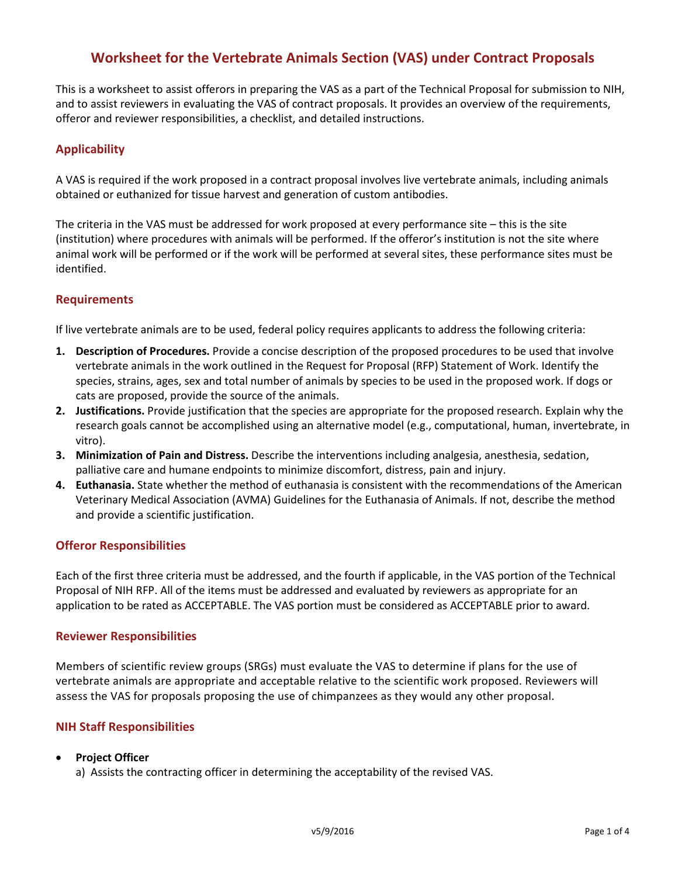# **Worksheet for the Vertebrate Animals Section (VAS) under Contract Proposals**

This is a worksheet to assist offerors in preparing the VAS as a part of the Technical Proposal for submission to NIH, and to assist reviewers in evaluating the VAS of contract proposals. It provides an overview of the requirements, offeror and reviewer responsibilities, a checklist, and detailed instructions.

# **Applicability**

A VAS is required if the work proposed in a contract proposal involves live vertebrate animals, including animals obtained or euthanized for tissue harvest and generation of custom antibodies.

The criteria in the VAS must be addressed for work proposed at every performance site – this is the site (institution) where procedures with animals will be performed. If the offeror's institution is not the site where animal work will be performed or if the work will be performed at several sites, these performance sites must be identified.

### **Requirements**

If live vertebrate animals are to be used, federal policy requires applicants to address the following criteria:

- **1. Description of Procedures.** Provide a concise description of the proposed procedures to be used that involve vertebrate animals in the work outlined in the Request for Proposal (RFP) Statement of Work. Identify the species, strains, ages, sex and total number of animals by species to be used in the proposed work. If dogs or cats are proposed, provide the source of the animals.
- **2. Justifications.** Provide justification that the species are appropriate for the proposed research. Explain why the research goals cannot be accomplished using an alternative model (e.g., computational, human, invertebrate, in vitro).
- **3. Minimization of Pain and Distress.** Describe the interventions including analgesia, anesthesia, sedation, palliative care and humane endpoints to minimize discomfort, distress, pain and injury.
- **4. Euthanasia.** State whether the method of euthanasia is consistent with the recommendations of the American Veterinary Medical Association (AVMA) Guidelines for the Euthanasia of Animals. If not, describe the method and provide a scientific justification.

## **Offeror Responsibilities**

Each of the first three criteria must be addressed, and the fourth if applicable, in the VAS portion of the Technical Proposal of NIH RFP. All of the items must be addressed and evaluated by reviewers as appropriate for an application to be rated as ACCEPTABLE. The VAS portion must be considered as ACCEPTABLE prior to award.

### **Reviewer Responsibilities**

Members of scientific review groups (SRGs) must evaluate the VAS to determine if plans for the use of vertebrate animals are appropriate and acceptable relative to the scientific work proposed. Reviewers will assess the VAS for proposals proposing the use of chimpanzees as they would any other proposal.

## **NIH Staff Responsibilities**

### • **Project Officer**

a) Assists the contracting officer in determining the acceptability of the revised VAS.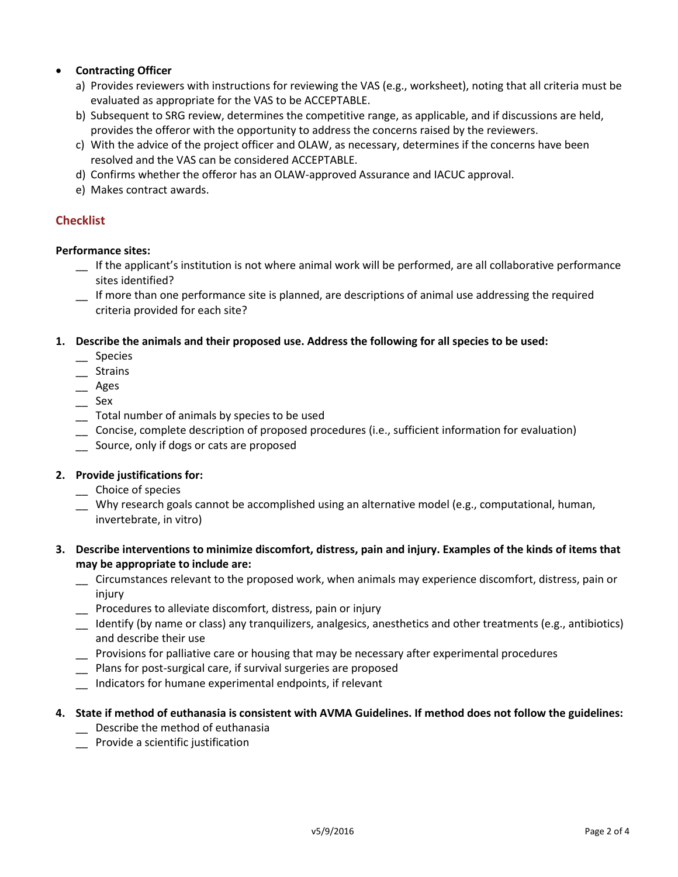## • **Contracting Officer**

- a) Provides reviewers with instructions for reviewing the VAS (e.g., worksheet), noting that all criteria must be evaluated as appropriate for the VAS to be ACCEPTABLE.
- b) Subsequent to SRG review, determines the competitive range, as applicable, and if discussions are held, provides the offeror with the opportunity to address the concerns raised by the reviewers.
- c) With the advice of the project officer and OLAW, as necessary, determines if the concerns have been resolved and the VAS can be considered ACCEPTABLE.
- d) Confirms whether the offeror has an OLAW-approved Assurance and IACUC approval.
- e) Makes contract awards.

## **Checklist**

### **Performance sites:**

- \_\_ If the applicant's institution is not where animal work will be performed, are all collaborative performance sites identified?
- \_\_ If more than one performance site is planned, are descriptions of animal use addressing the required criteria provided for each site?

**1. Describe the animals and their proposed use. Address the following for all species to be used:** 

- \_\_ Species
- \_\_ Strains
- \_\_ Ages
- $\equiv$  Sex
- \_\_ Total number of animals by species to be used
- \_\_ Concise, complete description of proposed procedures (i.e., sufficient information for evaluation)
- \_\_ Source, only if dogs or cats are proposed

### **2. Provide justifications for:**

- \_\_ Choice of species
- \_\_ Why research goals cannot be accomplished using an alternative model (e.g., computational, human, invertebrate, in vitro)
- **3. Describe interventions to minimize discomfort, distress, pain and injury. Examples of the kinds of items that may be appropriate to include are:** 
	- \_\_ Circumstances relevant to the proposed work, when animals may experience discomfort, distress, pain or injury
	- \_\_ Procedures to alleviate discomfort, distress, pain or injury
	- \_\_ Identify (by name or class) any tranquilizers, analgesics, anesthetics and other treatments (e.g., antibiotics) and describe their use
	- \_\_ Provisions for palliative care or housing that may be necessary after experimental procedures
	- Plans for post-surgical care, if survival surgeries are proposed
	- \_\_ Indicators for humane experimental endpoints, if relevant

### **4. State if method of euthanasia is consistent with AVMA Guidelines. If method does not follow the guidelines:**

- \_\_ Describe the method of euthanasia
- \_\_ Provide a scientific justification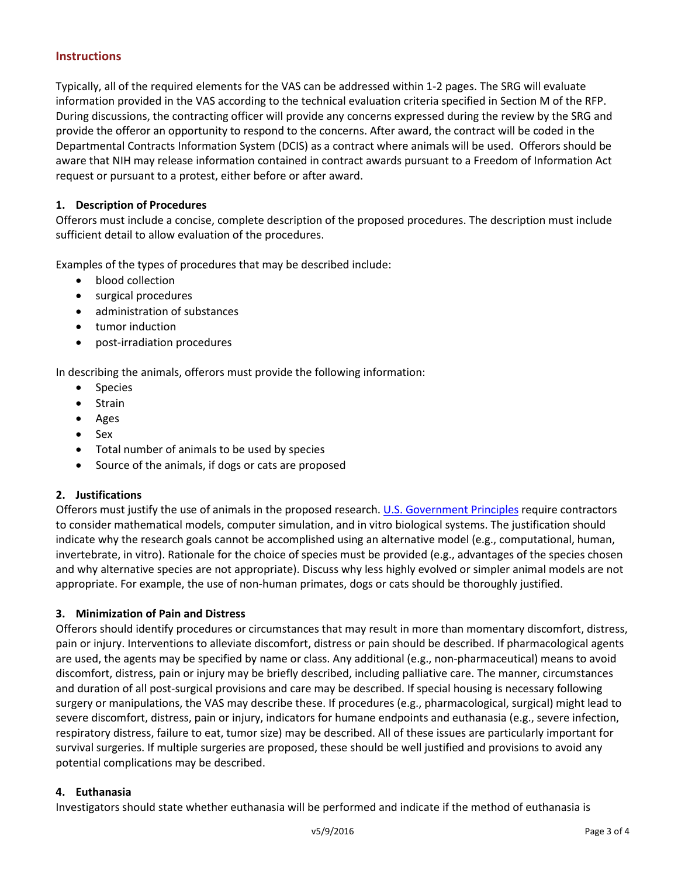### **Instructions**

Typically, all of the required elements for the VAS can be addressed within 1-2 pages. The SRG will evaluate information provided in the VAS according to the technical evaluation criteria specified in Section M of the RFP. During discussions, the contracting officer will provide any concerns expressed during the review by the SRG and provide the offeror an opportunity to respond to the concerns. After award, the contract will be coded in the Departmental Contracts Information System (DCIS) as a contract where animals will be used. Offerors should be aware that NIH may release information contained in contract awards pursuant to a Freedom of Information Act request or pursuant to a protest, either before or after award.

#### **1. Description of Procedures**

Offerors must include a concise, complete description of the proposed procedures. The description must include sufficient detail to allow evaluation of the procedures.

Examples of the types of procedures that may be described include:

- blood collection
- surgical procedures
- administration of substances
- tumor induction
- post-irradiation procedures

In describing the animals, offerors must provide the following information:

- Species
- Strain
- Ages
- Sex
- Total number of animals to be used by species
- Source of the animals, if dogs or cats are proposed

#### **2. Justifications**

Offerors must justify the use of animals in the proposed research. [U.S. Government Principles](http://grants.nih.gov/grants/olaw/references/phspol.htm#USGovPrinciples) require contractors to consider mathematical models, computer simulation, and in vitro biological systems. The justification should indicate why the research goals cannot be accomplished using an alternative model (e.g., computational, human, invertebrate, in vitro). Rationale for the choice of species must be provided (e.g., advantages of the species chosen and why alternative species are not appropriate). Discuss why less highly evolved or simpler animal models are not appropriate. For example, the use of non-human primates, dogs or cats should be thoroughly justified.

#### **3. Minimization of Pain and Distress**

Offerors should identify procedures or circumstances that may result in more than momentary discomfort, distress, pain or injury. Interventions to alleviate discomfort, distress or pain should be described. If pharmacological agents are used, the agents may be specified by name or class. Any additional (e.g., non-pharmaceutical) means to avoid discomfort, distress, pain or injury may be briefly described, including palliative care. The manner, circumstances and duration of all post-surgical provisions and care may be described. If special housing is necessary following surgery or manipulations, the VAS may describe these. If procedures (e.g., pharmacological, surgical) might lead to severe discomfort, distress, pain or injury, indicators for humane endpoints and euthanasia (e.g., severe infection, respiratory distress, failure to eat, tumor size) may be described. All of these issues are particularly important for survival surgeries. If multiple surgeries are proposed, these should be well justified and provisions to avoid any potential complications may be described.

#### **4. Euthanasia**

Investigators should state whether euthanasia will be performed and indicate if the method of euthanasia is